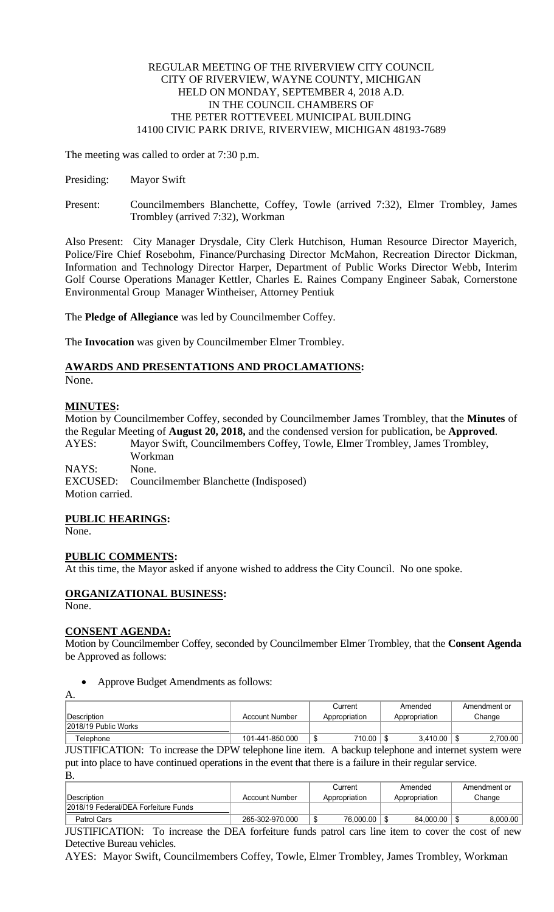## REGULAR MEETING OF THE RIVERVIEW CITY COUNCIL CITY OF RIVERVIEW, WAYNE COUNTY, MICHIGAN HELD ON MONDAY, SEPTEMBER 4, 2018 A.D. IN THE COUNCIL CHAMBERS OF THE PETER ROTTEVEEL MUNICIPAL BUILDING 14100 CIVIC PARK DRIVE, RIVERVIEW, MICHIGAN 48193-7689

The meeting was called to order at 7:30 p.m.

- Presiding: Mayor Swift
- Present: Councilmembers Blanchette, Coffey, Towle (arrived 7:32), Elmer Trombley, James Trombley (arrived 7:32), Workman

Also Present: City Manager Drysdale, City Clerk Hutchison, Human Resource Director Mayerich, Police/Fire Chief Rosebohm, Finance/Purchasing Director McMahon, Recreation Director Dickman, Information and Technology Director Harper, Department of Public Works Director Webb, Interim Golf Course Operations Manager Kettler, Charles E. Raines Company Engineer Sabak, Cornerstone Environmental Group Manager Wintheiser, Attorney Pentiuk

The **Pledge of Allegiance** was led by Councilmember Coffey.

The **Invocation** was given by Councilmember Elmer Trombley.

# **AWARDS AND PRESENTATIONS AND PROCLAMATIONS:**

None.

## **MINUTES:**

Motion by Councilmember Coffey, seconded by Councilmember James Trombley, that the **Minutes** of the Regular Meeting of **August 20, 2018,** and the condensed version for publication, be **Approved**. AYES: Mayor Swift, Councilmembers Coffey, Towle, Elmer Trombley, James Trombley, Workman NAYS: None. EXCUSED: Councilmember Blanchette (Indisposed)

Motion carried.

## **PUBLIC HEARINGS:**

None.

## **PUBLIC COMMENTS:**

At this time, the Mayor asked if anyone wished to address the City Council. No one spoke.

## **ORGANIZATIONAL BUSINESS:**

None.

A.

## **CONSENT AGENDA:**

Motion by Councilmember Coffey, seconded by Councilmember Elmer Trombley, that the **Consent Agenda**  be Approved as follows:

Approve Budget Amendments as follows:

| . |                      |                 |               |               |              |  |  |  |  |
|---|----------------------|-----------------|---------------|---------------|--------------|--|--|--|--|
|   |                      |                 | Current       | Amended       | Amendment or |  |  |  |  |
|   | ∣Description ∶       | Account Number  | Appropriation | Appropriation | Change       |  |  |  |  |
|   | 2018/19 Public Works |                 |               |               |              |  |  |  |  |
|   | Telephone            | 101-441-850.000 | 710.00<br>٠D  | 3,410.00      | 2.700.00     |  |  |  |  |

JUSTIFICATION: To increase the DPW telephone line item. A backup telephone and internet system were put into place to have continued operations in the event that there is a failure in their regular service. B.

| Description                          | Account Number  | Current<br>Appropriation | Amended<br>Appropriation | Amendment or<br>Change |
|--------------------------------------|-----------------|--------------------------|--------------------------|------------------------|
| 2018/19 Federal/DEA Forfeiture Funds |                 |                          |                          |                        |
| Patrol Cars                          | 265-302-970.000 | 76,000.00<br>۰D          | 84.000.00                | 8.000.00               |

JUSTIFICATION: To increase the DEA forfeiture funds patrol cars line item to cover the cost of new Detective Bureau vehicles.

AYES: Mayor Swift, Councilmembers Coffey, Towle, Elmer Trombley, James Trombley, Workman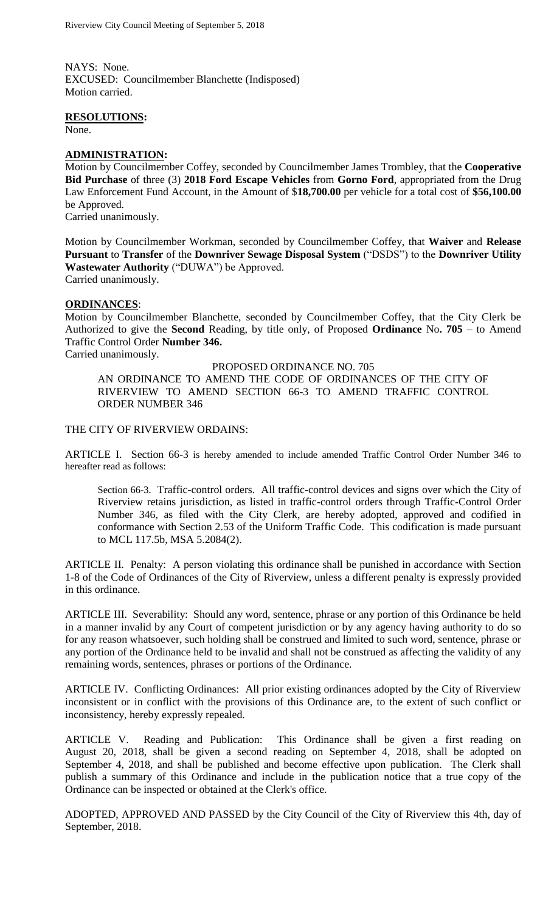NAYS: None. EXCUSED: Councilmember Blanchette (Indisposed) Motion carried.

#### **RESOLUTIONS:**

None.

#### **ADMINISTRATION:**

Motion by Councilmember Coffey, seconded by Councilmember James Trombley, that the **Cooperative Bid Purchase** of three (3) **2018 Ford Escape Vehicles** from **Gorno Ford**, appropriated from the Drug Law Enforcement Fund Account, in the Amount of \$**18,700.00** per vehicle for a total cost of **\$56,100.00** be Approved.

Carried unanimously.

Motion by Councilmember Workman, seconded by Councilmember Coffey, that **Waiver** and **Release Pursuant** to **Transfer** of the **Downriver Sewage Disposal System** ("DSDS") to the **Downriver Utility Wastewater Authority** ("DUWA") be Approved.

Carried unanimously.

## **ORDINANCES**:

Motion by Councilmember Blanchette, seconded by Councilmember Coffey, that the City Clerk be Authorized to give the **Second** Reading, by title only, of Proposed **Ordinance** No**. 705** – to Amend Traffic Control Order **Number 346.**

Carried unanimously.

PROPOSED ORDINANCE NO. 705

AN ORDINANCE TO AMEND THE CODE OF ORDINANCES OF THE CITY OF RIVERVIEW TO AMEND SECTION 66-3 TO AMEND TRAFFIC CONTROL ORDER NUMBER 346

## THE CITY OF RIVERVIEW ORDAINS:

ARTICLE I. Section 66-3 is hereby amended to include amended Traffic Control Order Number 346 to hereafter read as follows:

Section 66-3. Traffic-control orders. All traffic-control devices and signs over which the City of Riverview retains jurisdiction, as listed in traffic-control orders through Traffic-Control Order Number 346, as filed with the City Clerk, are hereby adopted, approved and codified in conformance with Section 2.53 of the Uniform Traffic Code. This codification is made pursuant to MCL 117.5b, MSA 5.2084(2).

ARTICLE II. Penalty: A person violating this ordinance shall be punished in accordance with Section 1-8 of the Code of Ordinances of the City of Riverview, unless a different penalty is expressly provided in this ordinance.

ARTICLE III. Severability: Should any word, sentence, phrase or any portion of this Ordinance be held in a manner invalid by any Court of competent jurisdiction or by any agency having authority to do so for any reason whatsoever, such holding shall be construed and limited to such word, sentence, phrase or any portion of the Ordinance held to be invalid and shall not be construed as affecting the validity of any remaining words, sentences, phrases or portions of the Ordinance.

ARTICLE IV. Conflicting Ordinances: All prior existing ordinances adopted by the City of Riverview inconsistent or in conflict with the provisions of this Ordinance are, to the extent of such conflict or inconsistency, hereby expressly repealed.

ARTICLE V. Reading and Publication: This Ordinance shall be given a first reading on August 20, 2018, shall be given a second reading on September 4, 2018, shall be adopted on September 4, 2018, and shall be published and become effective upon publication. The Clerk shall publish a summary of this Ordinance and include in the publication notice that a true copy of the Ordinance can be inspected or obtained at the Clerk's office.

ADOPTED, APPROVED AND PASSED by the City Council of the City of Riverview this 4th, day of September, 2018.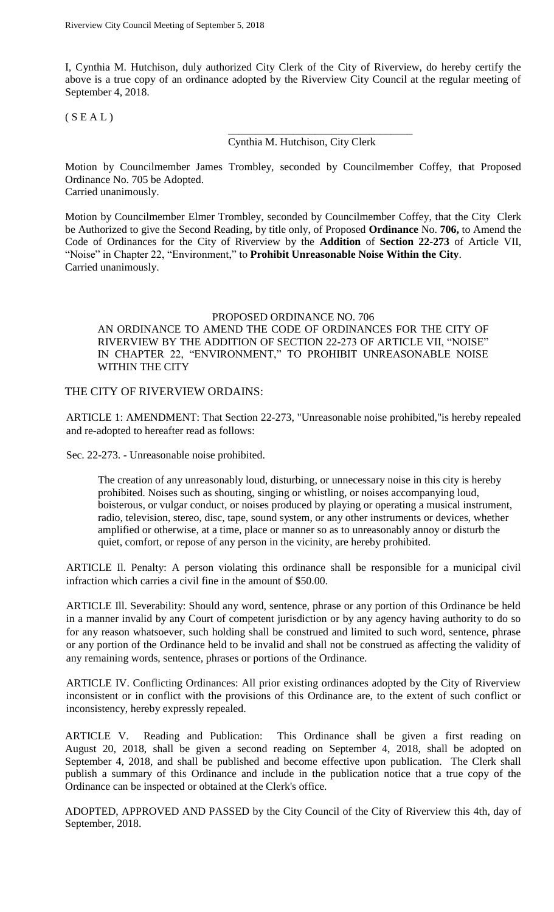I, Cynthia M. Hutchison, duly authorized City Clerk of the City of Riverview, do hereby certify the above is a true copy of an ordinance adopted by the Riverview City Council at the regular meeting of September 4, 2018.

 $(S E A L)$ 

Cynthia M. Hutchison, City Clerk

\_\_\_\_\_\_\_\_\_\_\_\_\_\_\_\_\_\_\_\_\_\_\_\_\_\_\_\_\_\_\_\_\_\_

Motion by Councilmember James Trombley, seconded by Councilmember Coffey, that Proposed Ordinance No. 705 be Adopted. Carried unanimously.

Motion by Councilmember Elmer Trombley, seconded by Councilmember Coffey, that the City Clerk be Authorized to give the Second Reading, by title only, of Proposed **Ordinance** No. **706,** to Amend the Code of Ordinances for the City of Riverview by the **Addition** of **Section 22-273** of Article VII, "Noise" in Chapter 22, "Environment," to **Prohibit Unreasonable Noise Within the City**. Carried unanimously.

#### PROPOSED ORDINANCE NO. 706

AN ORDINANCE TO AMEND THE CODE OF ORDINANCES FOR THE CITY OF RIVERVIEW BY THE ADDITION OF SECTION 22-273 OF ARTICLE VII, "NOISE" IN CHAPTER 22, "ENVIRONMENT," TO PROHIBIT UNREASONABLE NOISE WITHIN THE CITY

## THE CITY OF RIVERVIEW ORDAINS:

ARTICLE 1: AMENDMENT: That Section 22-273, "Unreasonable noise prohibited,"is hereby repealed and re-adopted to hereafter read as follows:

Sec. 22-273. - Unreasonable noise prohibited.

The creation of any unreasonably loud, disturbing, or unnecessary noise in this city is hereby prohibited. Noises such as shouting, singing or whistling, or noises accompanying loud, boisterous, or vulgar conduct, or noises produced by playing or operating a musical instrument, radio, television, stereo, disc, tape, sound system, or any other instruments or devices, whether amplified or otherwise, at a time, place or manner so as to unreasonably annoy or disturb the quiet, comfort, or repose of any person in the vicinity, are hereby prohibited.

ARTICLE Il. Penalty: A person violating this ordinance shall be responsible for a municipal civil infraction which carries a civil fine in the amount of \$50.00.

ARTICLE Ill. Severability: Should any word, sentence, phrase or any portion of this Ordinance be held in a manner invalid by any Court of competent jurisdiction or by any agency having authority to do so for any reason whatsoever, such holding shall be construed and limited to such word, sentence, phrase or any portion of the Ordinance held to be invalid and shall not be construed as affecting the validity of any remaining words, sentence, phrases or portions of the Ordinance.

ARTICLE IV. Conflicting Ordinances: All prior existing ordinances adopted by the City of Riverview inconsistent or in conflict with the provisions of this Ordinance are, to the extent of such conflict or inconsistency, hereby expressly repealed.

ARTICLE V. Reading and Publication: This Ordinance shall be given a first reading on August 20, 2018, shall be given a second reading on September 4, 2018, shall be adopted on September 4, 2018, and shall be published and become effective upon publication. The Clerk shall publish a summary of this Ordinance and include in the publication notice that a true copy of the Ordinance can be inspected or obtained at the Clerk's office.

ADOPTED, APPROVED AND PASSED by the City Council of the City of Riverview this 4th, day of September, 2018.